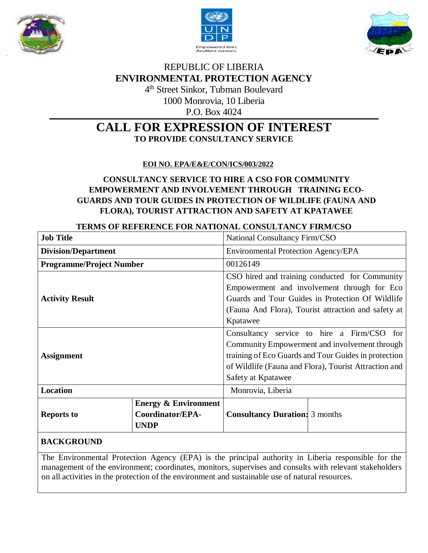





# REPUBLIC OF LIBERIA **ENVIRONMENTAL PROTECTION AGENCY**

4 th Street Sinkor, Tubman Boulevard 1000 Monrovia, 10 Liberia P.O. Box 4024

# **CALL FOR EXPRESSION OF INTEREST TO PROVIDE CONSULTANCY SERVICE**

 **EOI NO. EPA/E&E/CON/ICS/003/2022**

# **CONSULTANCY SERVICE TO HIRE A CSO FOR COMMUNITY EMPOWERMENT AND INVOLVEMENT THROUGH TRAINING ECO-GUARDS AND TOUR GUIDES IN PROTECTION OF WILDLIFE (FAUNA AND FLORA), TOURIST ATTRACTION AND SAFETY AT KPATAWEE**

### **TERMS OF REFERENCE FOR NATIONAL CONSULTANCY FIRM/CSO**

| <b>Job Title</b>                |                                 | National Consultancy Firm/CSO                         |                                                |
|---------------------------------|---------------------------------|-------------------------------------------------------|------------------------------------------------|
| <b>Division/Department</b>      |                                 | <b>Environmental Protection Agency/EPA</b>            |                                                |
| <b>Programme/Project Number</b> |                                 | 00126149                                              |                                                |
|                                 |                                 |                                                       | CSO hired and training conducted for Community |
| <b>Activity Result</b>          |                                 | Empowerment and involvement through for Eco           |                                                |
|                                 |                                 | Guards and Tour Guides in Protection Of Wildlife      |                                                |
|                                 |                                 | (Fauna And Flora), Tourist attraction and safety at   |                                                |
|                                 |                                 | Kpatawee                                              |                                                |
| <b>Assignment</b>               |                                 | Consultancy service to hire a Firm/CSO<br>for         |                                                |
|                                 |                                 | Community Empowerment and involvement through         |                                                |
|                                 |                                 | training of Eco Guards and Tour Guides in protection  |                                                |
|                                 |                                 | of Wildlife (Fauna and Flora), Tourist Attraction and |                                                |
|                                 |                                 | Safety at Kpatawee                                    |                                                |
| <b>Location</b>                 |                                 | Monrovia, Liberia                                     |                                                |
| <b>Reports to</b>               | <b>Energy &amp; Environment</b> |                                                       |                                                |
|                                 | Coordinator/EPA-                | <b>Consultancy Duration:</b> 3 months                 |                                                |
|                                 | <b>UNDP</b>                     |                                                       |                                                |
|                                 |                                 |                                                       |                                                |

### **BACKGROUND**

The Environmental Protection Agency (EPA) is the principal authority in Liberia responsible for the management of the environment; coordinates, monitors, supervises and consults with relevant stakeholders on all activities in the protection of the environment and sustainable use of natural resources.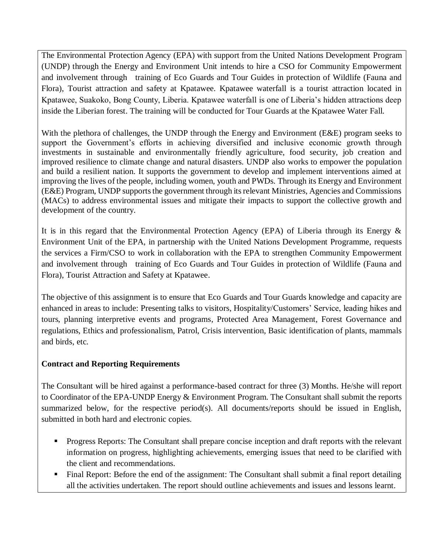The Environmental Protection Agency (EPA) with support from the United Nations Development Program (UNDP) through the Energy and Environment Unit intends to hire a CSO for Community Empowerment and involvement through training of Eco Guards and Tour Guides in protection of Wildlife (Fauna and Flora), Tourist attraction and safety at Kpatawee. Kpatawee waterfall is a tourist attraction located in Kpatawee, Suakoko, Bong County, Liberia. Kpatawee waterfall is one of Liberia's hidden attractions deep inside the Liberian forest. The training will be conducted for Tour Guards at the Kpatawee Water Fall.

With the plethora of challenges, the UNDP through the Energy and Environment (E&E) program seeks to support the Government's efforts in achieving diversified and inclusive economic growth through investments in sustainable and environmentally friendly agriculture, food security, job creation and improved resilience to climate change and natural disasters. UNDP also works to empower the population and build a resilient nation. It supports the government to develop and implement interventions aimed at improving the lives of the people, including women, youth and PWDs. Through its Energy and Environment (E&E) Program, UNDP supports the government through its relevant Ministries, Agencies and Commissions (MACs) to address environmental issues and mitigate their impacts to support the collective growth and development of the country.

It is in this regard that the Environmental Protection Agency (EPA) of Liberia through its Energy  $\&$ Environment Unit of the EPA, in partnership with the United Nations Development Programme, requests the services a Firm/CSO to work in collaboration with the EPA to strengthen Community Empowerment and involvement through training of Eco Guards and Tour Guides in protection of Wildlife (Fauna and Flora), Tourist Attraction and Safety at Kpatawee.

The objective of this assignment is to ensure that Eco Guards and Tour Guards knowledge and capacity are enhanced in areas to include: Presenting talks to visitors, Hospitality/Customers' Service, leading hikes and tours, planning interpretive events and programs, Protected Area Management, Forest Governance and regulations, Ethics and professionalism, Patrol, Crisis intervention, Basic identification of plants, mammals and birds, etc.

#### **Contract and Reporting Requirements**

The Consultant will be hired against a performance-based contract for three (3) Months. He/she will report to Coordinator of the EPA-UNDP Energy & Environment Program. The Consultant shall submit the reports summarized below, for the respective period(s). All documents/reports should be issued in English, submitted in both hard and electronic copies.

- **Progress Reports:** The Consultant shall prepare concise inception and draft reports with the relevant information on progress, highlighting achievements, emerging issues that need to be clarified with the client and recommendations.
- Final Report: Before the end of the assignment: The Consultant shall submit a final report detailing all the activities undertaken. The report should outline achievements and issues and lessons learnt.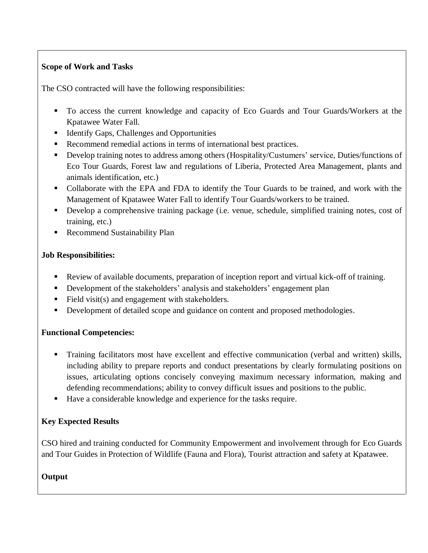## **Scope of Work and Tasks**

The CSO contracted will have the following responsibilities:

- To access the current knowledge and capacity of Eco Guards and Tour Guards/Workers at the Kpatawee Water Fall.
- Identify Gaps, Challenges and Opportunities
- Recommend remedial actions in terms of international best practices.
- Develop training notes to address among others (Hospitality/Custumers' service, Duties/functions of Eco Tour Guards, Forest law and regulations of Liberia, Protected Area Management, plants and animals identification, etc.)
- Collaborate with the EPA and FDA to identify the Tour Guards to be trained, and work with the Management of Kpatawee Water Fall to identify Tour Guards/workers to be trained.
- Develop a comprehensive training package (i.e. venue, schedule, simplified training notes, cost of training, etc.)
- **Recommend Sustainability Plan**

### **Job Responsibilities:**

- Review of available documents, preparation of inception report and virtual kick-off of training.
- Development of the stakeholders' analysis and stakeholders' engagement plan
- Field visit(s) and engagement with stakeholders.
- Development of detailed scope and guidance on content and proposed methodologies.

### **Functional Competencies:**

- Training facilitators most have excellent and effective communication (verbal and written) skills, including ability to prepare reports and conduct presentations by clearly formulating positions on issues, articulating options concisely conveying maximum necessary information, making and defending recommendations; ability to convey difficult issues and positions to the public.
- Have a considerable knowledge and experience for the tasks require.

## **Key Expected Results**

CSO hired and training conducted for Community Empowerment and involvement through for Eco Guards and Tour Guides in Protection of Wildlife (Fauna and Flora), Tourist attraction and safety at Kpatawee.

### **Output**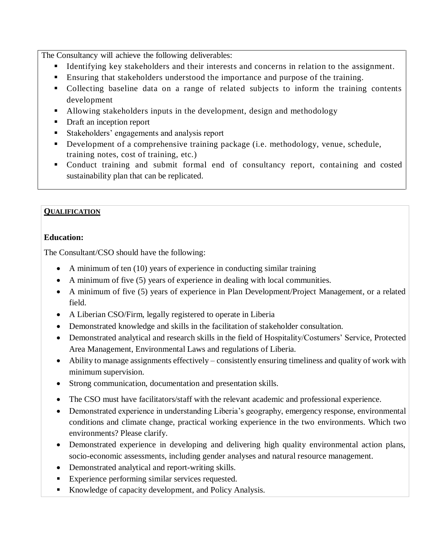The Consultancy will achieve the following deliverables:

- Identifying key stakeholders and their interests and concerns in relation to the assignment.
- Ensuring that stakeholders understood the importance and purpose of the training.
- Collecting baseline data on a range of related subjects to inform the training contents development
- Allowing stakeholders inputs in the development, design and methodology
- Draft an inception report
- Stakeholders' engagements and analysis report
- Development of a comprehensive training package (i.e. methodology, venue, schedule, training notes, cost of training, etc.)
- Conduct training and submit formal end of consultancy report, containing and costed sustainability plan that can be replicated.

#### **QUALIFICATION**

### **Education:**

The Consultant/CSO should have the following:

- A minimum of ten (10) years of experience in conducting similar training
- A minimum of five (5) years of experience in dealing with local communities.
- A minimum of five (5) years of experience in Plan Development/Project Management, or a related field.
- A Liberian CSO/Firm, legally registered to operate in Liberia
- Demonstrated knowledge and skills in the facilitation of stakeholder consultation.
- Demonstrated analytical and research skills in the field of Hospitality/Costumers' Service, Protected Area Management, Environmental Laws and regulations of Liberia.
- Ability to manage assignments effectively consistently ensuring timeliness and quality of work with minimum supervision.
- Strong communication, documentation and presentation skills.
- The CSO must have facilitators/staff with the relevant academic and professional experience.
- Demonstrated experience in understanding Liberia's geography, emergency response, environmental conditions and climate change, practical working experience in the two environments. Which two environments? Please clarify.
- Demonstrated experience in developing and delivering high quality environmental action plans, socio-economic assessments, including gender analyses and natural resource management.
- Demonstrated analytical and report-writing skills.
- Experience performing similar services requested.
- Knowledge of capacity development, and Policy Analysis.